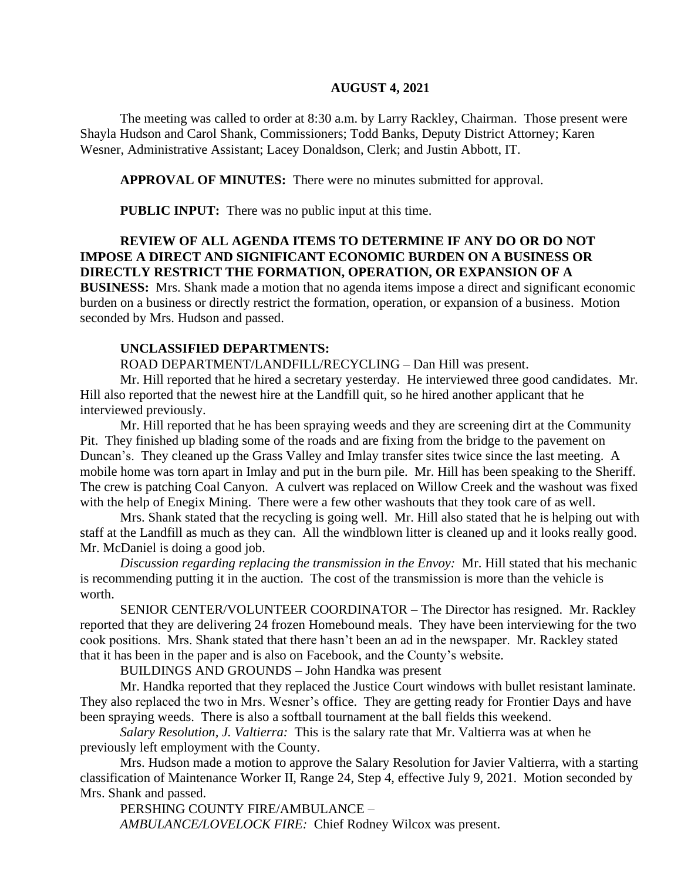### **AUGUST 4, 2021**

The meeting was called to order at 8:30 a.m. by Larry Rackley, Chairman. Those present were Shayla Hudson and Carol Shank, Commissioners; Todd Banks, Deputy District Attorney; Karen Wesner, Administrative Assistant; Lacey Donaldson, Clerk; and Justin Abbott, IT.

**APPROVAL OF MINUTES:** There were no minutes submitted for approval.

 **PUBLIC INPUT:** There was no public input at this time.

# **REVIEW OF ALL AGENDA ITEMS TO DETERMINE IF ANY DO OR DO NOT IMPOSE A DIRECT AND SIGNIFICANT ECONOMIC BURDEN ON A BUSINESS OR DIRECTLY RESTRICT THE FORMATION, OPERATION, OR EXPANSION OF A**

**BUSINESS:** Mrs. Shank made a motion that no agenda items impose a direct and significant economic burden on a business or directly restrict the formation, operation, or expansion of a business. Motion seconded by Mrs. Hudson and passed.

## **UNCLASSIFIED DEPARTMENTS:**

ROAD DEPARTMENT/LANDFILL/RECYCLING – Dan Hill was present.

Mr. Hill reported that he hired a secretary yesterday. He interviewed three good candidates. Mr. Hill also reported that the newest hire at the Landfill quit, so he hired another applicant that he interviewed previously.

Mr. Hill reported that he has been spraying weeds and they are screening dirt at the Community Pit. They finished up blading some of the roads and are fixing from the bridge to the pavement on Duncan's. They cleaned up the Grass Valley and Imlay transfer sites twice since the last meeting. A mobile home was torn apart in Imlay and put in the burn pile. Mr. Hill has been speaking to the Sheriff. The crew is patching Coal Canyon. A culvert was replaced on Willow Creek and the washout was fixed with the help of Enegix Mining. There were a few other washouts that they took care of as well.

Mrs. Shank stated that the recycling is going well. Mr. Hill also stated that he is helping out with staff at the Landfill as much as they can. All the windblown litter is cleaned up and it looks really good. Mr. McDaniel is doing a good job.

*Discussion regarding replacing the transmission in the Envoy:* Mr. Hill stated that his mechanic is recommending putting it in the auction. The cost of the transmission is more than the vehicle is worth.

SENIOR CENTER/VOLUNTEER COORDINATOR – The Director has resigned. Mr. Rackley reported that they are delivering 24 frozen Homebound meals. They have been interviewing for the two cook positions. Mrs. Shank stated that there hasn't been an ad in the newspaper. Mr. Rackley stated that it has been in the paper and is also on Facebook, and the County's website.

BUILDINGS AND GROUNDS – John Handka was present

Mr. Handka reported that they replaced the Justice Court windows with bullet resistant laminate. They also replaced the two in Mrs. Wesner's office. They are getting ready for Frontier Days and have been spraying weeds. There is also a softball tournament at the ball fields this weekend.

*Salary Resolution, J. Valtierra:* This is the salary rate that Mr. Valtierra was at when he previously left employment with the County.

Mrs. Hudson made a motion to approve the Salary Resolution for Javier Valtierra, with a starting classification of Maintenance Worker II, Range 24, Step 4, effective July 9, 2021. Motion seconded by Mrs. Shank and passed.

PERSHING COUNTY FIRE/AMBULANCE – *AMBULANCE/LOVELOCK FIRE:* Chief Rodney Wilcox was present.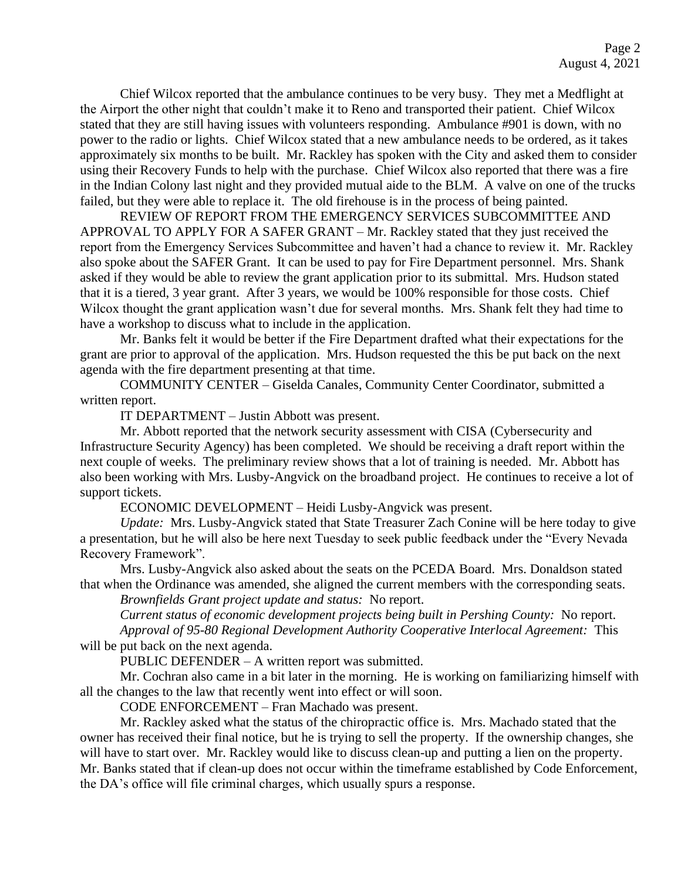Chief Wilcox reported that the ambulance continues to be very busy. They met a Medflight at the Airport the other night that couldn't make it to Reno and transported their patient. Chief Wilcox stated that they are still having issues with volunteers responding. Ambulance #901 is down, with no power to the radio or lights. Chief Wilcox stated that a new ambulance needs to be ordered, as it takes approximately six months to be built. Mr. Rackley has spoken with the City and asked them to consider using their Recovery Funds to help with the purchase. Chief Wilcox also reported that there was a fire in the Indian Colony last night and they provided mutual aide to the BLM. A valve on one of the trucks failed, but they were able to replace it. The old firehouse is in the process of being painted.

REVIEW OF REPORT FROM THE EMERGENCY SERVICES SUBCOMMITTEE AND APPROVAL TO APPLY FOR A SAFER GRANT – Mr. Rackley stated that they just received the report from the Emergency Services Subcommittee and haven't had a chance to review it. Mr. Rackley also spoke about the SAFER Grant. It can be used to pay for Fire Department personnel. Mrs. Shank asked if they would be able to review the grant application prior to its submittal. Mrs. Hudson stated that it is a tiered, 3 year grant. After 3 years, we would be 100% responsible for those costs. Chief Wilcox thought the grant application wasn't due for several months. Mrs. Shank felt they had time to have a workshop to discuss what to include in the application.

Mr. Banks felt it would be better if the Fire Department drafted what their expectations for the grant are prior to approval of the application. Mrs. Hudson requested the this be put back on the next agenda with the fire department presenting at that time.

COMMUNITY CENTER – Giselda Canales, Community Center Coordinator, submitted a written report.

IT DEPARTMENT – Justin Abbott was present.

Mr. Abbott reported that the network security assessment with CISA (Cybersecurity and Infrastructure Security Agency) has been completed. We should be receiving a draft report within the next couple of weeks. The preliminary review shows that a lot of training is needed. Mr. Abbott has also been working with Mrs. Lusby-Angvick on the broadband project. He continues to receive a lot of support tickets.

ECONOMIC DEVELOPMENT – Heidi Lusby-Angvick was present.

*Update:* Mrs. Lusby-Angvick stated that State Treasurer Zach Conine will be here today to give a presentation, but he will also be here next Tuesday to seek public feedback under the "Every Nevada Recovery Framework".

Mrs. Lusby-Angvick also asked about the seats on the PCEDA Board. Mrs. Donaldson stated that when the Ordinance was amended, she aligned the current members with the corresponding seats. *Brownfields Grant project update and status:* No report.

*Current status of economic development projects being built in Pershing County:* No report.

*Approval of 95-80 Regional Development Authority Cooperative Interlocal Agreement:* This will be put back on the next agenda.

PUBLIC DEFENDER – A written report was submitted.

Mr. Cochran also came in a bit later in the morning. He is working on familiarizing himself with all the changes to the law that recently went into effect or will soon.

CODE ENFORCEMENT – Fran Machado was present.

Mr. Rackley asked what the status of the chiropractic office is. Mrs. Machado stated that the owner has received their final notice, but he is trying to sell the property. If the ownership changes, she will have to start over. Mr. Rackley would like to discuss clean-up and putting a lien on the property. Mr. Banks stated that if clean-up does not occur within the timeframe established by Code Enforcement, the DA's office will file criminal charges, which usually spurs a response.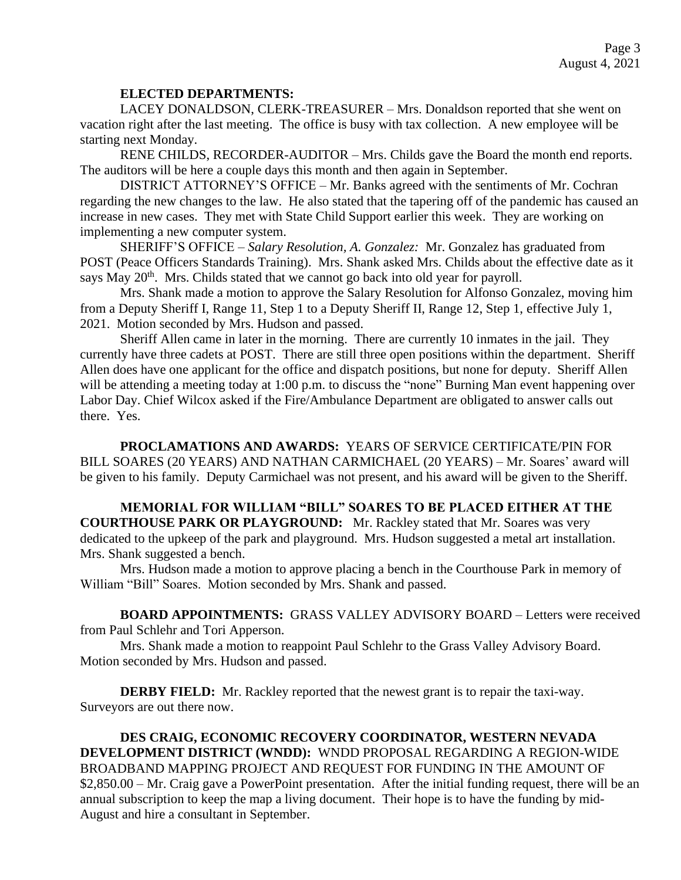### **ELECTED DEPARTMENTS:**

LACEY DONALDSON, CLERK-TREASURER – Mrs. Donaldson reported that she went on vacation right after the last meeting. The office is busy with tax collection. A new employee will be starting next Monday.

RENE CHILDS, RECORDER-AUDITOR – Mrs. Childs gave the Board the month end reports. The auditors will be here a couple days this month and then again in September.

DISTRICT ATTORNEY'S OFFICE – Mr. Banks agreed with the sentiments of Mr. Cochran regarding the new changes to the law. He also stated that the tapering off of the pandemic has caused an increase in new cases. They met with State Child Support earlier this week. They are working on implementing a new computer system.

SHERIFF'S OFFICE – *Salary Resolution, A. Gonzalez:* Mr. Gonzalez has graduated from POST (Peace Officers Standards Training). Mrs. Shank asked Mrs. Childs about the effective date as it says May 20<sup>th</sup>. Mrs. Childs stated that we cannot go back into old year for payroll.

Mrs. Shank made a motion to approve the Salary Resolution for Alfonso Gonzalez, moving him from a Deputy Sheriff I, Range 11, Step 1 to a Deputy Sheriff II, Range 12, Step 1, effective July 1, 2021. Motion seconded by Mrs. Hudson and passed.

Sheriff Allen came in later in the morning. There are currently 10 inmates in the jail. They currently have three cadets at POST. There are still three open positions within the department. Sheriff Allen does have one applicant for the office and dispatch positions, but none for deputy. Sheriff Allen will be attending a meeting today at 1:00 p.m. to discuss the "none" Burning Man event happening over Labor Day. Chief Wilcox asked if the Fire/Ambulance Department are obligated to answer calls out there. Yes.

**PROCLAMATIONS AND AWARDS:** YEARS OF SERVICE CERTIFICATE/PIN FOR BILL SOARES (20 YEARS) AND NATHAN CARMICHAEL (20 YEARS) – Mr. Soares' award will be given to his family. Deputy Carmichael was not present, and his award will be given to the Sheriff.

**MEMORIAL FOR WILLIAM "BILL" SOARES TO BE PLACED EITHER AT THE COURTHOUSE PARK OR PLAYGROUND:** Mr. Rackley stated that Mr. Soares was very dedicated to the upkeep of the park and playground. Mrs. Hudson suggested a metal art installation. Mrs. Shank suggested a bench.

Mrs. Hudson made a motion to approve placing a bench in the Courthouse Park in memory of William "Bill" Soares. Motion seconded by Mrs. Shank and passed.

**BOARD APPOINTMENTS:** GRASS VALLEY ADVISORY BOARD – Letters were received from Paul Schlehr and Tori Apperson.

Mrs. Shank made a motion to reappoint Paul Schlehr to the Grass Valley Advisory Board. Motion seconded by Mrs. Hudson and passed.

**DERBY FIELD:** Mr. Rackley reported that the newest grant is to repair the taxi-way. Surveyors are out there now.

**DES CRAIG, ECONOMIC RECOVERY COORDINATOR, WESTERN NEVADA DEVELOPMENT DISTRICT (WNDD):** WNDD PROPOSAL REGARDING A REGION-WIDE BROADBAND MAPPING PROJECT AND REQUEST FOR FUNDING IN THE AMOUNT OF \$2,850.00 – Mr. Craig gave a PowerPoint presentation. After the initial funding request, there will be an annual subscription to keep the map a living document. Their hope is to have the funding by mid-August and hire a consultant in September.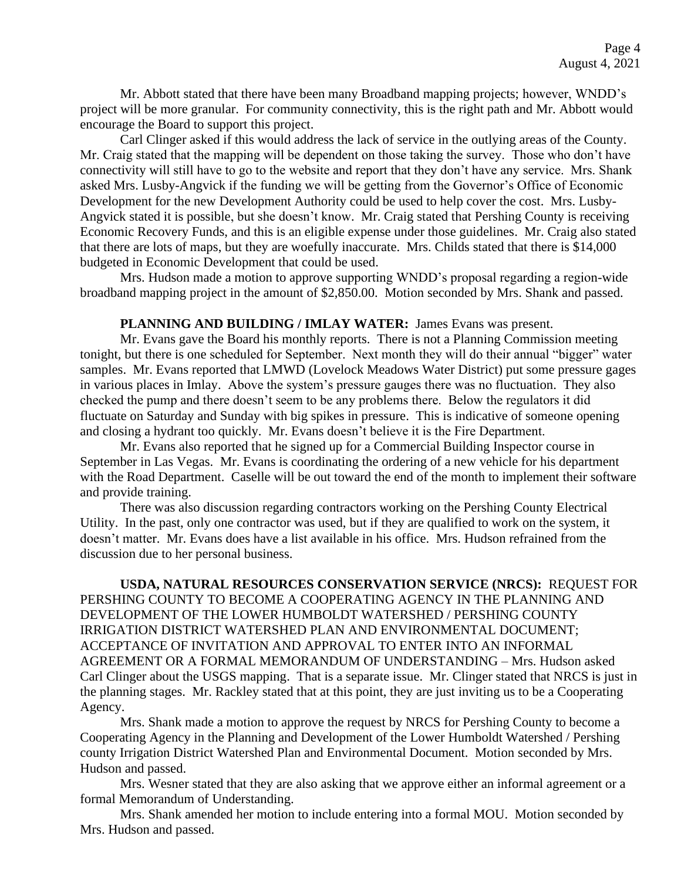Mr. Abbott stated that there have been many Broadband mapping projects; however, WNDD's project will be more granular. For community connectivity, this is the right path and Mr. Abbott would encourage the Board to support this project.

Carl Clinger asked if this would address the lack of service in the outlying areas of the County. Mr. Craig stated that the mapping will be dependent on those taking the survey. Those who don't have connectivity will still have to go to the website and report that they don't have any service. Mrs. Shank asked Mrs. Lusby-Angvick if the funding we will be getting from the Governor's Office of Economic Development for the new Development Authority could be used to help cover the cost. Mrs. Lusby-Angvick stated it is possible, but she doesn't know. Mr. Craig stated that Pershing County is receiving Economic Recovery Funds, and this is an eligible expense under those guidelines. Mr. Craig also stated that there are lots of maps, but they are woefully inaccurate. Mrs. Childs stated that there is \$14,000 budgeted in Economic Development that could be used.

Mrs. Hudson made a motion to approve supporting WNDD's proposal regarding a region-wide broadband mapping project in the amount of \$2,850.00. Motion seconded by Mrs. Shank and passed.

### PLANNING AND BUILDING / IMLAY WATER: James Evans was present.

Mr. Evans gave the Board his monthly reports. There is not a Planning Commission meeting tonight, but there is one scheduled for September. Next month they will do their annual "bigger" water samples. Mr. Evans reported that LMWD (Lovelock Meadows Water District) put some pressure gages in various places in Imlay. Above the system's pressure gauges there was no fluctuation. They also checked the pump and there doesn't seem to be any problems there. Below the regulators it did fluctuate on Saturday and Sunday with big spikes in pressure. This is indicative of someone opening and closing a hydrant too quickly. Mr. Evans doesn't believe it is the Fire Department.

Mr. Evans also reported that he signed up for a Commercial Building Inspector course in September in Las Vegas. Mr. Evans is coordinating the ordering of a new vehicle for his department with the Road Department. Caselle will be out toward the end of the month to implement their software and provide training.

There was also discussion regarding contractors working on the Pershing County Electrical Utility. In the past, only one contractor was used, but if they are qualified to work on the system, it doesn't matter. Mr. Evans does have a list available in his office. Mrs. Hudson refrained from the discussion due to her personal business.

**USDA, NATURAL RESOURCES CONSERVATION SERVICE (NRCS):** REQUEST FOR PERSHING COUNTY TO BECOME A COOPERATING AGENCY IN THE PLANNING AND DEVELOPMENT OF THE LOWER HUMBOLDT WATERSHED / PERSHING COUNTY IRRIGATION DISTRICT WATERSHED PLAN AND ENVIRONMENTAL DOCUMENT; ACCEPTANCE OF INVITATION AND APPROVAL TO ENTER INTO AN INFORMAL AGREEMENT OR A FORMAL MEMORANDUM OF UNDERSTANDING – Mrs. Hudson asked Carl Clinger about the USGS mapping. That is a separate issue. Mr. Clinger stated that NRCS is just in the planning stages. Mr. Rackley stated that at this point, they are just inviting us to be a Cooperating Agency.

Mrs. Shank made a motion to approve the request by NRCS for Pershing County to become a Cooperating Agency in the Planning and Development of the Lower Humboldt Watershed / Pershing county Irrigation District Watershed Plan and Environmental Document. Motion seconded by Mrs. Hudson and passed.

Mrs. Wesner stated that they are also asking that we approve either an informal agreement or a formal Memorandum of Understanding.

Mrs. Shank amended her motion to include entering into a formal MOU. Motion seconded by Mrs. Hudson and passed.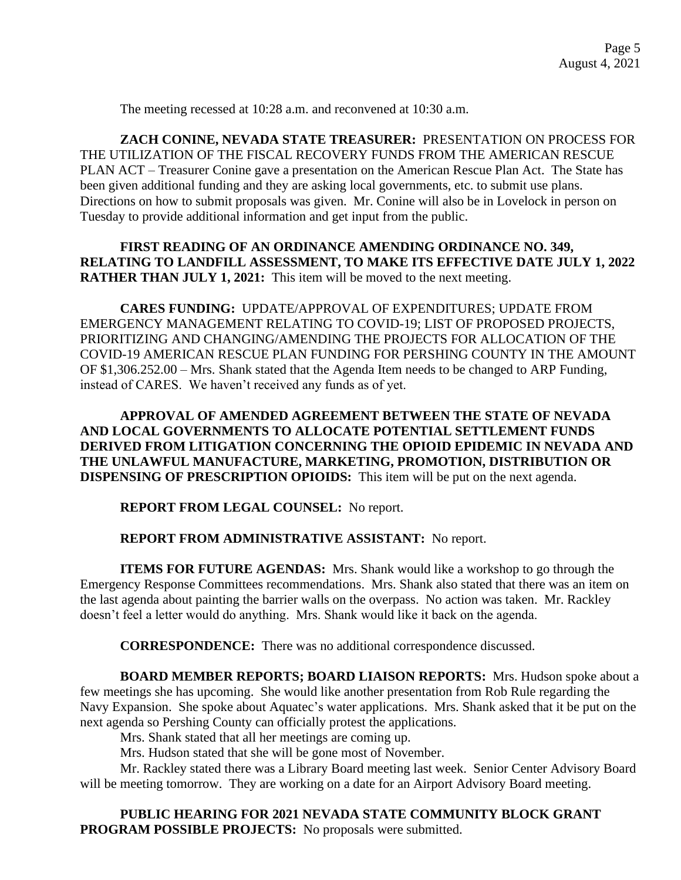The meeting recessed at 10:28 a.m. and reconvened at 10:30 a.m.

**ZACH CONINE, NEVADA STATE TREASURER:** PRESENTATION ON PROCESS FOR THE UTILIZATION OF THE FISCAL RECOVERY FUNDS FROM THE AMERICAN RESCUE PLAN ACT – Treasurer Conine gave a presentation on the American Rescue Plan Act. The State has been given additional funding and they are asking local governments, etc. to submit use plans. Directions on how to submit proposals was given. Mr. Conine will also be in Lovelock in person on Tuesday to provide additional information and get input from the public.

**FIRST READING OF AN ORDINANCE AMENDING ORDINANCE NO. 349, RELATING TO LANDFILL ASSESSMENT, TO MAKE ITS EFFECTIVE DATE JULY 1, 2022 RATHER THAN JULY 1, 2021:** This item will be moved to the next meeting.

**CARES FUNDING:** UPDATE/APPROVAL OF EXPENDITURES; UPDATE FROM EMERGENCY MANAGEMENT RELATING TO COVID-19; LIST OF PROPOSED PROJECTS, PRIORITIZING AND CHANGING/AMENDING THE PROJECTS FOR ALLOCATION OF THE COVID-19 AMERICAN RESCUE PLAN FUNDING FOR PERSHING COUNTY IN THE AMOUNT OF \$1,306.252.00 – Mrs. Shank stated that the Agenda Item needs to be changed to ARP Funding, instead of CARES. We haven't received any funds as of yet.

**APPROVAL OF AMENDED AGREEMENT BETWEEN THE STATE OF NEVADA AND LOCAL GOVERNMENTS TO ALLOCATE POTENTIAL SETTLEMENT FUNDS DERIVED FROM LITIGATION CONCERNING THE OPIOID EPIDEMIC IN NEVADA AND THE UNLAWFUL MANUFACTURE, MARKETING, PROMOTION, DISTRIBUTION OR DISPENSING OF PRESCRIPTION OPIOIDS:** This item will be put on the next agenda.

**REPORT FROM LEGAL COUNSEL:** No report.

# **REPORT FROM ADMINISTRATIVE ASSISTANT:** No report.

**ITEMS FOR FUTURE AGENDAS:** Mrs. Shank would like a workshop to go through the Emergency Response Committees recommendations. Mrs. Shank also stated that there was an item on the last agenda about painting the barrier walls on the overpass. No action was taken. Mr. Rackley doesn't feel a letter would do anything. Mrs. Shank would like it back on the agenda.

**CORRESPONDENCE:** There was no additional correspondence discussed.

**BOARD MEMBER REPORTS; BOARD LIAISON REPORTS:** Mrs. Hudson spoke about a few meetings she has upcoming. She would like another presentation from Rob Rule regarding the Navy Expansion. She spoke about Aquatec's water applications. Mrs. Shank asked that it be put on the next agenda so Pershing County can officially protest the applications.

Mrs. Shank stated that all her meetings are coming up.

Mrs. Hudson stated that she will be gone most of November.

Mr. Rackley stated there was a Library Board meeting last week. Senior Center Advisory Board will be meeting tomorrow. They are working on a date for an Airport Advisory Board meeting.

**PUBLIC HEARING FOR 2021 NEVADA STATE COMMUNITY BLOCK GRANT PROGRAM POSSIBLE PROJECTS:** No proposals were submitted.